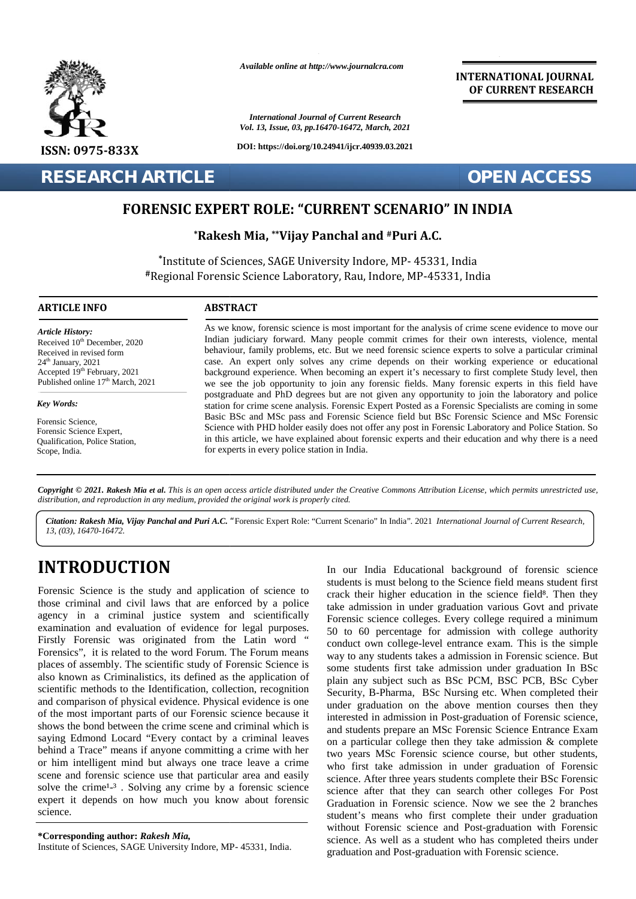

*Available online at http://www.journalcra.com*

*International Journal of Current Research Vol. 13, Issue, 03, pp.16470-16472, March, 2021*

**DOI: https://doi.org/10.24941/ijcr.40939.03.2021**

## **INTERNATIONAL JOURNAL OF CURRENT RESEARCH**

**RESEARCH ARTICLE OPEN ACCESS**

# **FORENSIC EXPERT ROLE: "CURRENT SCENARIO" IN INDIA**

 $^{\ast}$ **Rakesh Mia,**  $^{\ast\ast}$ **Vijay Panchal and #Puri A.C.** 

**\*** Institute of Sciences, SAGE University Indore, MP- 45331, India **#**Regional Forensic Science Laboratory, Rau, Indore, MP-45331, India SAGE Science Laboratory,

### **ARTICLE INFO ABSTRACT ARTICLE ABSTRACT**

*Article History:* Received  $10^{th}$  December, 2020 Received TO December, 2020<br>Received in revised form  $24<sup>th</sup>$  January,  $2021$ Received in revised form<br>
24<sup>th</sup> January, 2021<br>
Accepted 19<sup>th</sup> February, 2021 Published online  $17<sup>th</sup>$  March, 2021

*Key Words: Key Words:*

Forensic Science, Potensic Science,<br>Forensic Science Expert, Politication, Police Station,<br>Qualification, Police Station, Scope, India.

As we know, forensic science is most important for the analysis of crime scene evidence to move our Indian judiciary forward. Many people commit crimes for their own interests, violence, mental behaviour, family problems, etc. But we need forensic science experts to solve a particular criminal case. An expert only solves any crime depends on their working experience or educational background experience. When becoming an expert it's necessary to first complete Study level, then we see the job opportunity to join any forensic fields. Many forensic experts in this field have postgraduate and PhD degrees but are not given any opportunity to join the laboratory and police station for crime scene analysis. Forensic Expert Posted as a Forensic Specialists are coming in some Basic BSc and MSc pass and Forensic Science field but BSc Forensic Science and MSc Forensic Science with PHD holder easily does not offer any post in Forensic Laboratory and Police Station. So in this article, we have explained about forensic experts and their education and why there is a need for experts in every police station in India. As we know, forensic science is most important for the analysis of crime scene evidence to move our Indian judiciary forward. Many people commit crimes for their own interests, violence, mental behaviour, family problems, we see the job opportunity to join any forensic fields. Many forensic experts in this field have postgraduate and PhD degrees but are not given any opportunity to join the laboratory and police station for crime scene anal Findian judiciary forward. Many people commit crimes for their own interests, violence, me<br>
puridistant and the puridistant crimes to the two states are the two scales are control case. An expert only solves any crime depe **EXECUTE:**<br> **EXECUTE:**<br> **EXECUTE:**<br> **EXECUTE:**<br> **EXECUTE:**<br> **EXECUTE:**<br> **EXECUTE:**<br> **EXECUTE:**<br> **EXECUTE:**<br> **EXECUTE:**<br> **EXECUTE:**<br> **EXECUTE:**<br> **EXECUTE:**<br> **EXECUTE:**<br> **EXECUTE:**<br> **EXECUTE:**<br> **EXECUTE:**<br> **EXECUTE:**<br> **EXECU** 

Copyright © 2021. Rakesh Mia et al. This is an open access article distributed under the Creative Commons Attribution License, which permits unrestricted use, **Copyright © 2021. Rakesh Mia et al.** This is an open access article distributed under the Crea<br>distribution, and reproduction in any medium, provided the original work is properly cited.

*Citation: Rakesh Mia, Vijay Panchal and Puri A.C. "*Forensic Expert Role: "Current Scenario" In India"*.* 2021 *International Journal of Current Research, 13, (03), 16470-16472.*

# **INTRODUCTION INTRODUCTION**

Forensic Science is the study and application of science to those criminal and civil laws that are enforced by a police agency in a criminal justice system and scientifically examination and evaluation of evidence for legal purposes. Firstly Forensic was originated from the Latin word " Forensics", it is related to the word Forum. The Forum means places of assembly. The scientific study of Forensic Science is also known as Criminalistics, its defined as the application of scientific methods to the Identification, collection, recognition and comparison of physical evidence. Physical evidence is one und of the most important parts of our Forensic science because it shows the bond between the crime scene and criminal which is  $\qquad$ <sub>and</sub> saying Edmond Locard "Every contact by a criminal leaves on behind a Trace" means if anyone committing a crime with her  $_{\text{tw}}$ or him intelligent mind but always one trace leave a crime scene and forensic science use that particular area and easily science solve the crime<sup>1<sub>-3</sub></sup>. Solving any crime by a forensic science expert it depends on how much you know about forensic  $G_{\text{r}a}$ science. science. Forensic Science is the study and application of science to those criminal and civil laws that are enforced by a police agency in a criminal justice system and scientifically examination and evaluation of evidence for lega places of assembly. The scientific study of Forensic Science is<br>also known as Criminalistics, its defined as the application of<br>scientific methods to the Identification, collection, recognition<br>and comparison of physical e or him intelligent mind but always one trace leave a crime<br>scene and forensic science use that particular area and easily<br>solve the crime<sup>1</sup>-<sup>3</sup>. Solving any crime by a forensic science

**\*Corresponding author:** *Rakesh Mia,* **\*Corresponding** *Mia,*Institute of Sciences, SAGE University Indore, MP- 45331, India.

In our India Educational background of forensic science students is must belong to the Science field means student first crack their higher education in the science field. Then they take admission in under graduation various Govt and private Forensic science colleges. Every college required a minimum 50 to 60 percentage for admission with college authority conduct own college-level entrance exam. This is the simple way to any students takes a admission in Forensic science. But some students first take admission under graduation In BSc plain any subject such as BSc PCM, BSC PCB, BSc Cyber Security, B-Pharma, BSc Nursing etc. When completed their under graduation on the above mention courses then they interested in admission in Post-graduation of Forensic science, and students prepare an MSc Forensic Science Entrance Exam on a particular college then they take admission & complete two years MSc Forensic science course, but other students, who first take admission in under graduation of Forensic science. After three years students complete their BSc Forensic science after that they can search other colleges For Post Graduation in Forensic science. Now we see the 2 branches student's means who first complete their under graduation student's without Forensic science and Post-graduation with Forensic science. As well as a student who has completed theirs under graduation and Post-graduation with Forensic science. In our India Educational background of forensic science students is must belong to the Science field means student first crack their higher education in the science field . Then they take admission in under graduation vari interested in admission in Post-graduation of Forensic<br>and students prepare an MSc Forensic Science Entranc<br>on a particular college then they take admission  $\& c$ <br>two years MSc Forensic science course, but other s<br>who f Forential continue the measure of **Forential Continents** (Section 1998). The European ST (1998) and The Continue of Science Reflective Continue (Section 1991) and International International International International Int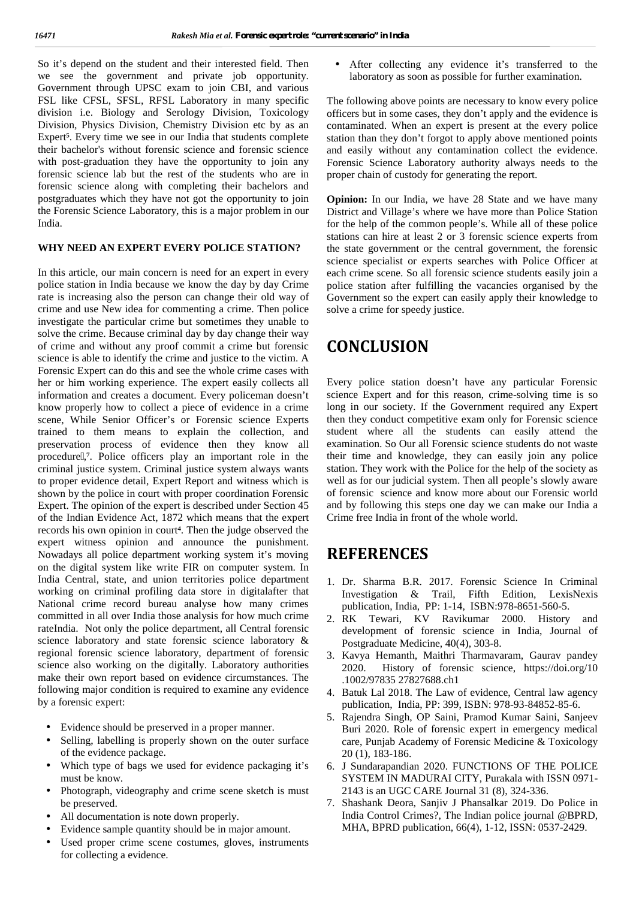So it's depend on the student and their interested field. Then we see the government and private job opportunity. Government through UPSC exam to join CBI, and various FSL like CFSL, SFSL, RFSL Laboratory in many specific division i.e. Biology and Serology Division, Toxicology Division, Physics Division, Chemistry Division etc by as an Expert. Every time we see in our India that students complete their bachelor's without forensic science and forensic science with post-graduation they have the opportunity to join any forensic science lab but the rest of the students who are in forensic science along with completing their bachelors and postgraduates which they have not got the opportunity to join the Forensic Science Laboratory, this is a major problem in our India.

## **WHY NEED AN EXPERT EVERY POLICE STATION?**

In this article, our main concern is need for an expert in every police station in India because we know the day by day Crime rate is increasing also the person can change their old way of crime and use New idea for commenting a crime. Then police investigate the particular crime but sometimes they unable to solve the crime. Because criminal day by day change their way of crime and without any proof commit a crime but forensic science is able to identify the crime and justice to the victim. A Forensic Expert can do this and see the whole crime cases with her or him working experience. The expert easily collects all information and creates a document. Every policeman doesn't know properly how to collect a piece of evidence in a crime scene, While Senior Officer's or Forensic science Experts trained to them means to explain the collection, and preservation process of evidence then they know all procedure, . Police officers play an important role in the criminal justice system. Criminal justice system always wants to proper evidence detail, Expert Report and witness which is shown by the police in court with proper coordination Forensic Expert. The opinion of the expert is described under Section 45 of the Indian Evidence Act, 1872 which means that the expert records his own opinion in court. Then the judge observed the expert witness opinion and announce the punishment. Nowadays all police department working system it's moving on the digital system like write FIR on computer system. In India Central, state, and union territories police department working on criminal profiling data store in digitalafter that National crime record bureau analyse how many crimes committed in all over India those analysis for how much crime  $2 \overline{R}K$ rateIndia. Not only the police department, all Central forensic science laboratory and state forensic science laboratory & regional forensic science laboratory, department of forensic science also working on the digitally. Laboratory authorities make their own report based on evidence circumstances. The following major condition is required to examine any evidence by a forensic expert:

- Evidence should be preserved in a proper manner.
- Selling, labelling is properly shown on the outer surface of the evidence package.
- Which type of bags we used for evidence packaging it's must be know.
- Photograph, videography and crime scene sketch is must be preserved.
- All documentation is note down properly.
- Evidence sample quantity should be in major amount.
- Used proper crime scene costumes, gloves, instruments for collecting a evidence.

 After collecting any evidence it's transferred to the laboratory as soon as possible for further examination.

The following above points are necessary to know every police officers but in some cases, they don't apply and the evidence is contaminated. When an expert is present at the every police station than they don't forgot to apply above mentioned points and easily without any contamination collect the evidence. Forensic Science Laboratory authority always needs to the proper chain of custody for generating the report.

**Opinion:** In our India, we have 28 State and we have many District and Village's where we have more than Police Station for the help of the common people's. While all of these police stations can hire at least 2 or 3 forensic science experts from the state government or the central government, the forensic science specialist or experts searches with Police Officer at each crime scene. So all forensic science students easily join a police station after fulfilling the vacancies organised by the Government so the expert can easily apply their knowledge to solve a crime for speedy justice.

# **CONCLUSION**

Every police station doesn't have any particular Forensic science Expert and for this reason, crime-solving time is so long in our society. If the Government required any Expert then they conduct competitive exam only for Forensic science student where all the students can easily attend the examination. So Our all Forensic science students do not waste their time and knowledge, they can easily join any police station. They work with the Police for the help of the society as well as for our judicial system. Then all people's slowly aware of forensic science and know more about our Forensic world and by following this steps one day we can make our India a Crime free India in front of the whole world.

## **REFERENCES**

- 1. Dr. Sharma B.R. 2017. Forensic Science In Criminal Investigation & Trail, Fifth Edition, LexisNexis publication, India, PP: 1-14, ISBN:978-8651-560-5.
- Tewari, KV Ravikumar 2000. History and development of forensic science in India, Journal of Postgraduate Medicine, 40(4), 303-8.
- 3. Kavya Hemanth, Maithri Tharmavaram, Gaurav pandey 2020. History of forensic science, https://doi.org/10 .1002/97835 27827688.ch1
- 4. Batuk Lal 2018. The Law of evidence, Central law agency publication, India, PP: 399, ISBN: 978-93-84852-85-6.
- 5. Rajendra Singh, OP Saini, Pramod Kumar Saini, Sanjeev Buri 2020. Role of forensic expert in emergency medical care, Punjab Academy of Forensic Medicine & Toxicology 20 (1), 183-186.
- 6. J Sundarapandian 2020. FUNCTIONS OF THE POLICE SYSTEM IN MADURAI CITY, Purakala with ISSN 0971- 2143 is an UGC CARE Journal 31 (8), 324-336.
- 7. Shashank Deora, Sanjiv J Phansalkar 2019. Do Police in India Control Crimes?, The Indian police journal @BPRD, MHA, BPRD publication, 66(4), 1-12, ISSN: 0537-2429.